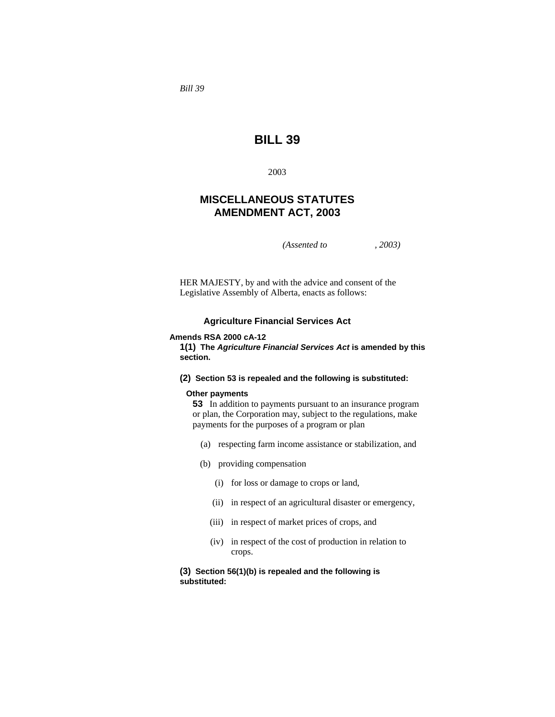*Bill 39* 

# **BILL 39**

2003

# **MISCELLANEOUS STATUTES AMENDMENT ACT, 2003**

*(Assented to , 2003)* 

HER MAJESTY, by and with the advice and consent of the Legislative Assembly of Alberta, enacts as follows:

### **Agriculture Financial Services Act**

#### **Amends RSA 2000 cA-12**

**1(1) The** *Agriculture Financial Services Act* **is amended by this section.** 

# **(2) Section 53 is repealed and the following is substituted:**

### **Other payments**

**53** In addition to payments pursuant to an insurance program or plan, the Corporation may, subject to the regulations, make payments for the purposes of a program or plan

- (a) respecting farm income assistance or stabilization, and
- (b) providing compensation
	- (i) for loss or damage to crops or land,
	- (ii) in respect of an agricultural disaster or emergency,
	- (iii) in respect of market prices of crops, and
	- (iv) in respect of the cost of production in relation to crops.

**(3) Section 56(1)(b) is repealed and the following is substituted:**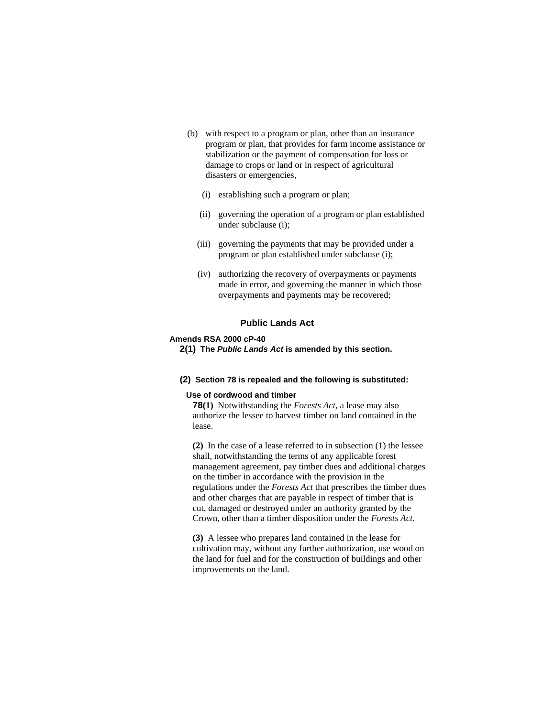- (b) with respect to a program or plan, other than an insurance program or plan, that provides for farm income assistance or stabilization or the payment of compensation for loss or damage to crops or land or in respect of agricultural disasters or emergencies,
	- (i) establishing such a program or plan;
	- (ii) governing the operation of a program or plan established under subclause (i);
	- (iii) governing the payments that may be provided under a program or plan established under subclause (i);
	- (iv) authorizing the recovery of overpayments or payments made in error, and governing the manner in which those overpayments and payments may be recovered;

# **Public Lands Act**

### **Amends RSA 2000 cP-40**

**2(1) The** *Public Lands Act* **is amended by this section.** 

#### **(2) Section 78 is repealed and the following is substituted:**

#### **Use of cordwood and timber**

**78(1)** Notwithstanding the *Forests Act*, a lease may also authorize the lessee to harvest timber on land contained in the lease.

**(2)** In the case of a lease referred to in subsection (1) the lessee shall, notwithstanding the terms of any applicable forest management agreement, pay timber dues and additional charges on the timber in accordance with the provision in the regulations under the *Forests Act* that prescribes the timber dues and other charges that are payable in respect of timber that is cut, damaged or destroyed under an authority granted by the Crown, other than a timber disposition under the *Forests Act*.

**(3)** A lessee who prepares land contained in the lease for cultivation may, without any further authorization, use wood on the land for fuel and for the construction of buildings and other improvements on the land.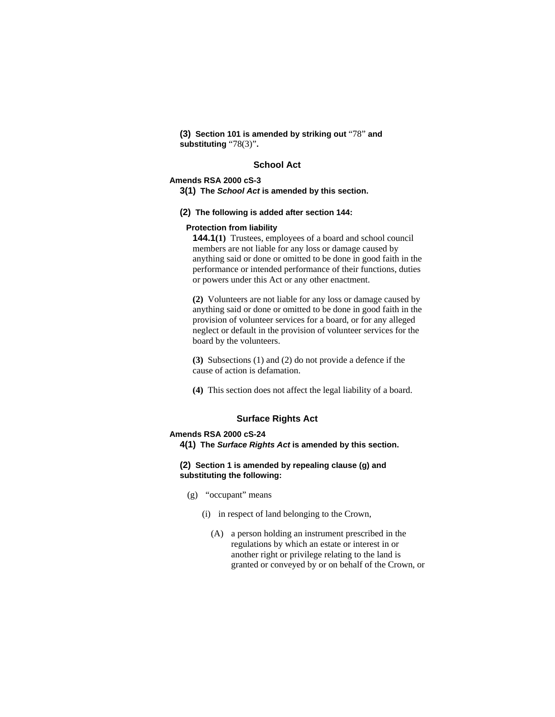**(3) Section 101 is amended by striking out** "78" **and substituting** "78(3)"**.** 

# **School Act**

# **Amends RSA 2000 cS-3**

**3(1) The** *School Act* **is amended by this section.** 

**(2) The following is added after section 144:**

#### **Protection from liability**

**144.1(1)** Trustees, employees of a board and school council members are not liable for any loss or damage caused by anything said or done or omitted to be done in good faith in the performance or intended performance of their functions, duties or powers under this Act or any other enactment.

**(2)** Volunteers are not liable for any loss or damage caused by anything said or done or omitted to be done in good faith in the provision of volunteer services for a board, or for any alleged neglect or default in the provision of volunteer services for the board by the volunteers.

**(3)** Subsections (1) and (2) do not provide a defence if the cause of action is defamation.

**(4)** This section does not affect the legal liability of a board.

### **Surface Rights Act**

# **Amends RSA 2000 cS-24**

**4(1) The** *Surface Rights Act* **is amended by this section.** 

# **(2) Section 1 is amended by repealing clause (g) and substituting the following:**

- (g) "occupant" means
	- (i) in respect of land belonging to the Crown,
		- (A) a person holding an instrument prescribed in the regulations by which an estate or interest in or another right or privilege relating to the land is granted or conveyed by or on behalf of the Crown, or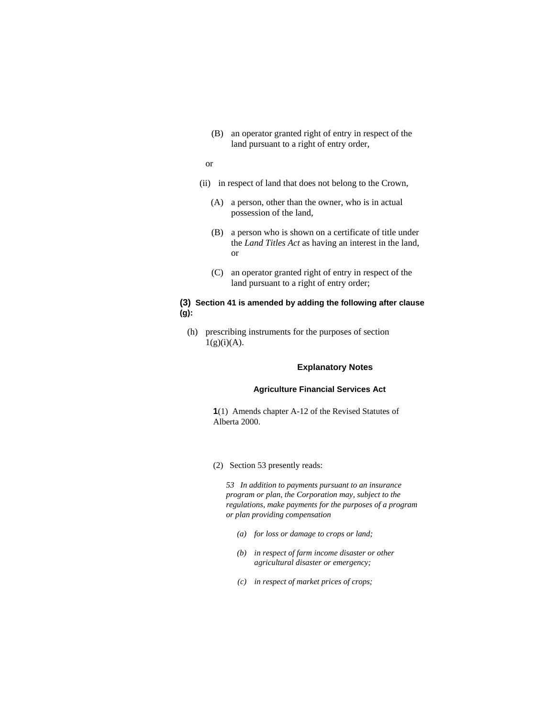- (B) an operator granted right of entry in respect of the land pursuant to a right of entry order,
- or
- (ii) in respect of land that does not belong to the Crown,
	- (A) a person, other than the owner, who is in actual possession of the land,
	- (B) a person who is shown on a certificate of title under the *Land Titles Act* as having an interest in the land, or
	- (C) an operator granted right of entry in respect of the land pursuant to a right of entry order;

# **(3) Section 41 is amended by adding the following after clause (g):**

 (h) prescribing instruments for the purposes of section  $1(g)(i)(A)$ .

#### **Explanatory Notes**

# **Agriculture Financial Services Act**

**1**(1) Amends chapter A-12 of the Revised Statutes of Alberta 2000.

(2) Section 53 presently reads:

*53 In addition to payments pursuant to an insurance program or plan, the Corporation may, subject to the regulations, make payments for the purposes of a program or plan providing compensation* 

- *(a) for loss or damage to crops or land;*
- *(b) in respect of farm income disaster or other agricultural disaster or emergency;*
- *(c) in respect of market prices of crops;*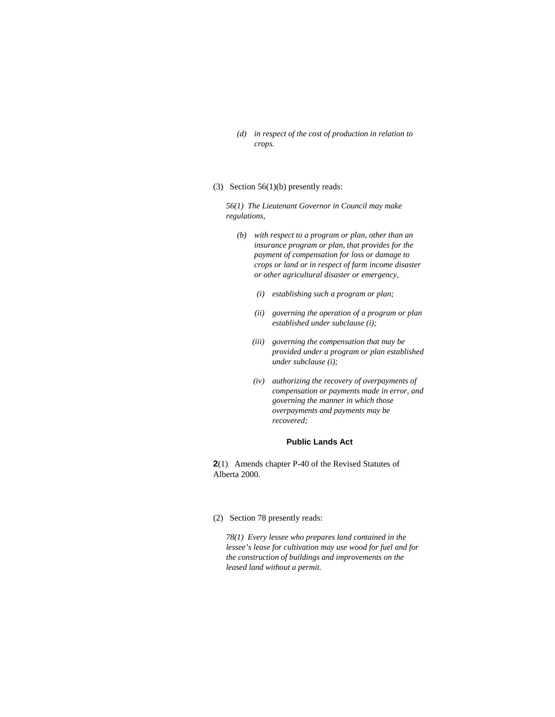- *(d) in respect of the cost of production in relation to crops.*
- (3) Section 56(1)(b) presently reads:

*56(1) The Lieutenant Governor in Council may make regulations,* 

- *(b) with respect to a program or plan, other than an insurance program or plan, that provides for the payment of compensation for loss or damage to crops or land or in respect of farm income disaster or other agricultural disaster or emergency,* 
	- *(i) establishing such a program or plan;*
	- *(ii) governing the operation of a program or plan established under subclause (i);*
	- *(iii) governing the compensation that may be provided under a program or plan established under subclause (i);*
	- *(iv) authorizing the recovery of overpayments of compensation or payments made in error, and governing the manner in which those overpayments and payments may be recovered;*

#### **Public Lands Act**

**2**(1) Amends chapter P-40 of the Revised Statutes of Alberta 2000.

#### (2) Section 78 presently reads:

*78(1) Every lessee who prepares land contained in the lessee's lease for cultivation may use wood for fuel and for the construction of buildings and improvements on the leased land without a permit.*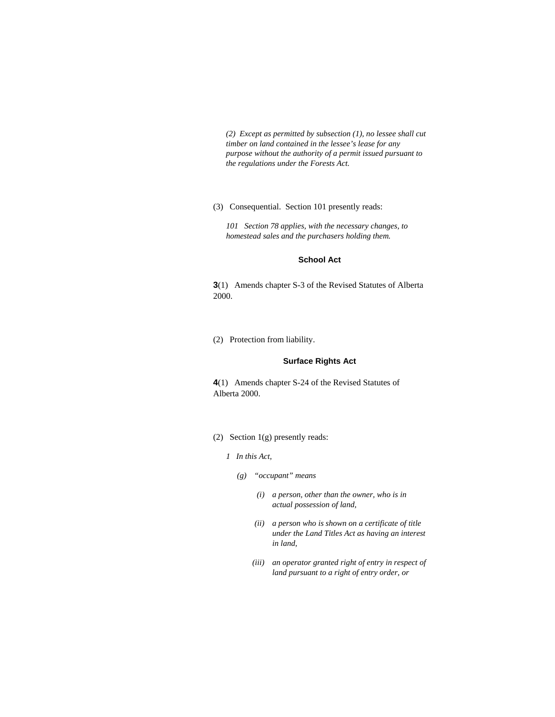*(2) Except as permitted by subsection (1), no lessee shall cut timber on land contained in the lessee's lease for any purpose without the authority of a permit issued pursuant to the regulations under the Forests Act.* 

### (3) Consequential. Section 101 presently reads:

*101 Section 78 applies, with the necessary changes, to homestead sales and the purchasers holding them.* 

#### **School Act**

**3**(1) Amends chapter S-3 of the Revised Statutes of Alberta 2000.

(2) Protection from liability.

#### **Surface Rights Act**

**4**(1) Amends chapter S-24 of the Revised Statutes of Alberta 2000.

- (2) Section 1(g) presently reads:
	- *1 In this Act,* 
		- *(g) "occupant" means* 
			- *(i) a person, other than the owner, who is in actual possession of land,*
			- *(ii) a person who is shown on a certificate of title under the Land Titles Act as having an interest in land,*
			- *(iii) an operator granted right of entry in respect of land pursuant to a right of entry order, or*